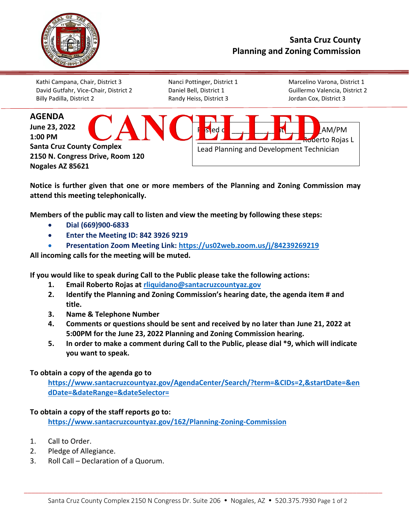

## **Santa Cruz County Planning and Zoning Commission**

Kathi Campana, Chair, District 3 Nanci Pottinger, District 1 Marcelino Varona, District 1 David Gutfahr, Vice-Chair, District 2 Daniel Bell, District 1 Guillermo Valencia, District 2 Billy Padilla, District 2 Randy Heiss, District 3 Jordan Cox, District 3



**Notice is further given that one or more members of the Planning and Zoning Commission may attend this meeting telephonically.**

**Members of the public may call to listen and view the meeting by following these steps:** 

- **Dial (669)900-6833**
- **Enter the Meeting ID: 842 3926 9219**
- **Presentation Zoom Meeting Link:<https://us02web.zoom.us/j/84239269219>**

**All incoming calls for the meeting will be muted.** 

**If you would like to speak during Call to the Public please take the following actions:** 

- **1. Email Roberto Rojas at [rliquidano@santacruzcountyaz.gov](mailto:rliquidano@santacruzcountyaz.gov)**
- **2. Identify the Planning and Zoning Commission's hearing date, the agenda item # and title.**
- **3. Name & Telephone Number**
- **4. Comments or questions should be sent and received by no later than June 21, 2022 at 5:00PM for the June 23, 2022 Planning and Zoning Commission hearing.**
- **5. In order to make a comment during Call to the Public, please dial \*9, which will indicate you want to speak.**

## **To obtain a copy of the agenda go to**

**[https://www.santacruzcountyaz.gov/AgendaCenter/Search/?term=&CIDs=2,&startDate=&en](https://www.santacruzcountyaz.gov/AgendaCenter/Search/?term=&CIDs=2,&startDate=&endDate=&dateRange=&dateSelector=) [dDate=&dateRange=&dateSelector=](https://www.santacruzcountyaz.gov/AgendaCenter/Search/?term=&CIDs=2,&startDate=&endDate=&dateRange=&dateSelector=)**

## **To obtain a copy of the staff reports go to:**

**<https://www.santacruzcountyaz.gov/162/Planning-Zoning-Commission>**

- 1. Call to Order.
- 2. Pledge of Allegiance.
- 3. Roll Call Declaration of a Quorum.

\_\_\_\_\_\_\_\_\_\_\_\_\_\_\_\_\_\_\_\_\_\_\_\_\_\_\_\_\_\_\_\_\_\_\_\_\_\_\_\_\_\_\_\_\_\_\_\_\_\_\_\_\_\_\_\_\_\_\_\_\_\_\_\_\_\_\_\_\_\_\_\_\_\_\_\_\_\_\_\_\_\_\_\_\_\_\_\_\_\_\_\_\_\_\_\_\_\_